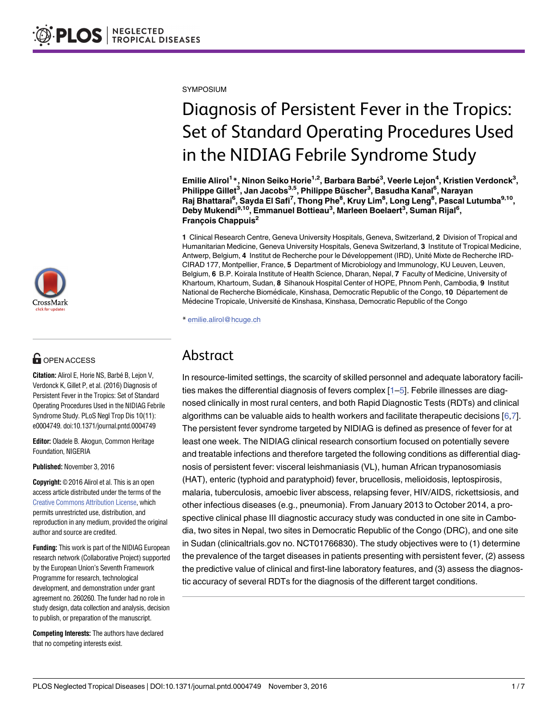

## **G** OPEN ACCESS

**Citation:** Alirol E, Horie NS, Barbé B, Lejon V, Verdonck K, Gillet P, et al. (2016) Diagnosis of Persistent Fever in the Tropics: Set of Standard Operating Procedures Used in the NIDIAG Febrile Syndrome Study. PLoS Negl Trop Dis 10(11): e0004749. doi:10.1371/journal.pntd.0004749

**Editor:** Oladele B. Akogun, Common Heritage Foundation, NIGERIA

**Published:** November 3, 2016

**Copyright:** © 2016 Alirol et al. This is an open access article distributed under the terms of the Creative Commons [Attribution](http://creativecommons.org/licenses/by/4.0/) License, which permits unrestricted use, distribution, and reproduction in any medium, provided the original author and source are credited.

**Funding:** This work is part of the NIDIAG European research network (Collaborative Project) supported by the European Union's Seventh Framework Programme for research, technological development, and demonstration under grant agreement no. 260260. The funder had no role in study design, data collection and analysis, decision to publish, or preparation of the manuscript.

**Competing Interests:** The authors have declared that no competing interests exist.

<span id="page-0-0"></span>**SYMPOSIUM** 

# Diagnosis of Persistent Fever in the Tropics: Set of Standard Operating Procedures Used in the NIDIAG Febrile Syndrome Study

Emilie Alirol<sup>1</sup>\*, Ninon Seiko Horie<sup>1,2</sup>, Barbara Barbé<sup>3</sup>, Veerle Lejon<sup>4</sup>, Kristien Verdonck<sup>3</sup>, **Philippe Gillet3 , Jan Jacobs3,5, Philippe Bu¨scher<sup>3</sup> , Basudha Kanal6 , Narayan** Raj Bhattarai<sup>6</sup>, Sayda El Safi<sup>7</sup>, Thong Phe<sup>8</sup>, Kruy Lim<sup>8</sup>, Long Leng<sup>8</sup>, Pascal Lutumba<sup>9,10</sup>, **Deby Mukendi9,10, Emmanuel Bottieau3 , Marleen Boelaert<sup>3</sup> , Suman Rijal<sup>6</sup> , Franc¸ois Chappuis2**

**1** Clinical Research Centre, Geneva University Hospitals, Geneva, Switzerland, **2** Division of Tropical and Humanitarian Medicine, Geneva University Hospitals, Geneva Switzerland, **3** Institute of Tropical Medicine, Antwerp, Belgium, 4 Institut de Recherche pour le Développement (IRD), Unité Mixte de Recherche IRD-CIRAD 177, Montpellier, France, **5** Department of Microbiology and Immunology, KU Leuven, Leuven, Belgium, **6** B.P. Koirala Institute of Health Science, Dharan, Nepal, **7** Faculty of Medicine, University of Khartoum, Khartoum, Sudan, **8** Sihanouk Hospital Center of HOPE, Phnom Penh, Cambodia, **9** Institut National de Recherche Biomédicale, Kinshasa, Democratic Republic of the Congo, 10 Département de Médecine Tropicale, Université de Kinshasa, Kinshasa, Democratic Republic of the Congo

\* emilie.alirol@hcuge.ch

# Abstract

In resource-limited settings, the scarcity of skilled personnel and adequate laboratory facilities makes the differential diagnosis of fevers complex [\[1](#page-6-0)–[5\]](#page-6-0). Febrile illnesses are diagnosed clinically in most rural centers, and both Rapid Diagnostic Tests (RDTs) and clinical algorithms can be valuable aids to health workers and facilitate therapeutic decisions [[6,7\]](#page-6-0). The persistent fever syndrome targeted by NIDIAG is defined as presence of fever for at least one week. The NIDIAG clinical research consortium focused on potentially severe and treatable infections and therefore targeted the following conditions as differential diagnosis of persistent fever: visceral leishmaniasis (VL), human African trypanosomiasis (HAT), enteric (typhoid and paratyphoid) fever, brucellosis, melioidosis, leptospirosis, malaria, tuberculosis, amoebic liver abscess, relapsing fever, HIV/AIDS, rickettsiosis, and other infectious diseases (e.g., pneumonia). From January 2013 to October 2014, a prospective clinical phase III diagnostic accuracy study was conducted in one site in Cambodia, two sites in Nepal, two sites in Democratic Republic of the Congo (DRC), and one site in Sudan (clinicaltrials.gov no. NCT01766830). The study objectives were to (1) determine the prevalence of the target diseases in patients presenting with persistent fever, (2) assess the predictive value of clinical and first-line laboratory features, and (3) assess the diagnostic accuracy of several RDTs for the diagnosis of the different target conditions.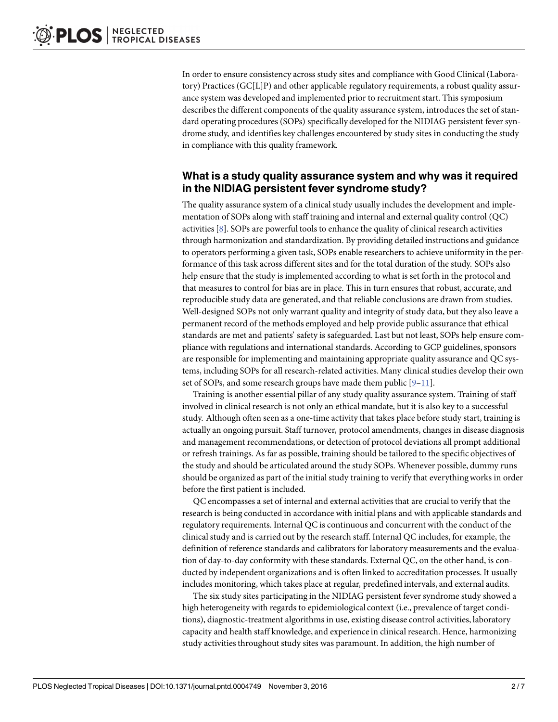<span id="page-1-0"></span>In order to ensure consistency across study sites and compliance with Good Clinical (Laboratory) Practices(GC[L]P) and other applicable regulatory requirements, a robust quality assurance system was developed and implemented prior to recruitment start. This symposium describesthe different components of the quality assurance system, introduces the set of standard operating procedures (SOPs) specifically developed for the NIDIAG persistent fever syndrome study, and identifies key challenges encountered by study sites in conducting the study in compliance with this quality framework.

## **What is a study quality assurance system and why was it required in the NIDIAG persistent fever syndrome study?**

The quality assurance system of a clinical study usually includes the development and implementation of SOPs along with staff training and internal and external quality control (QC) activities[\[8](#page-6-0)]. SOPs are powerful tools to enhance the quality of clinical research activities through harmonization and standardization. By providing detailed instructions and guidance to operators performing a given task, SOPs enable researchers to achieve uniformity in the performance of this task across different sites and for the total duration of the study. SOPs also help ensure that the study is implemented according to what is set forth in the protocol and that measures to control for bias are in place. This in turn ensures that robust, accurate, and reproducible study data are generated, and that reliable conclusions are drawn from studies. Well-designed SOPs not only warrant quality and integrity of study data, but they also leave a permanent record of the methods employed and help provide public assurance that ethical standards are met and patients' safety is safeguarded. Last but not least, SOPs help ensure compliance with regulations and international standards. According to GCP guidelines, sponsors are responsible for implementing and maintaining appropriate quality assurance and QC systems, including SOPs for all research-related activities. Many clinical studies develop their own set of SOPs, and some research groups have made them public [\[9–11\]](#page-6-0).

Training is another essential pillar of any study quality assurance system. Training of staff involved in clinical research is not only an ethical mandate, but it is also key to a successful study. Although often seen as a one-time activity that takes place before study start, training is actually an ongoing pursuit. Staff turnover, protocol amendments, changes in disease diagnosis and management recommendations, or detection of protocol deviations all prompt additional or refresh trainings. As far as possible, training should be tailored to the specific objectives of the study and should be articulated around the study SOPs. Whenever possible, dummy runs should be organized as part of the initial study training to verify that everythingworks in order before the first patient is included.

QC encompasses a set of internal and external activities that are crucial to verify that the research is being conducted in accordance with initial plans and with applicable standards and regulatory requirements. Internal QC is continuous and concurrent with the conduct of the clinical study and is carried out by the research staff. Internal QC includes, for example, the definition of reference standards and calibrators for laboratory measurements and the evaluation of day-to-day conformity with these standards. External QC, on the other hand, is conducted by independent organizations and is often linked to accreditation processes. It usually includes monitoring, which takes place at regular, predefined intervals, and external audits.

The six study sites participating in the NIDIAG persistent fever syndrome study showed a high heterogeneity with regards to epidemiological context (i.e., prevalence of target conditions), diagnostic-treatment algorithms in use, existing disease control activities, laboratory capacity and health staff knowledge, and experience in clinical research. Hence, harmonizing study activities throughout study sites was paramount. In addition, the high number of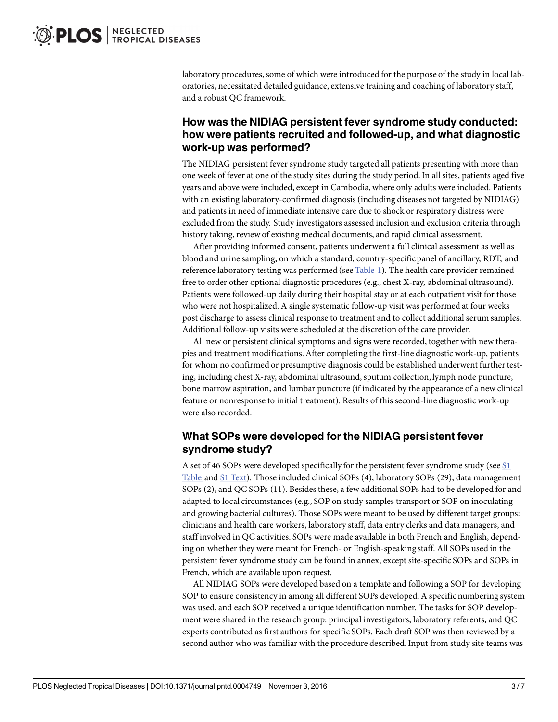<span id="page-2-0"></span>laboratory procedures, some of which were introduced for the purpose of the study in local laboratories, necessitated detailed guidance, extensive training and coaching of laboratory staff, and a robust QC framework.

## **How was the NIDIAG persistent fever syndrome study conducted: how were patients recruited and followed-up, and what diagnostic work-up was performed?**

The NIDIAG persistent fever syndrome study targeted all patients presenting with more than one week of fever at one of the study sites during the study period.In all sites, patients aged five years and above were included, except in Cambodia, where only adults were included. Patients with an existing laboratory-confirmed diagnosis(including diseases not targeted by NIDIAG) and patients in need of immediate intensive care due to shock or respiratory distress were excluded from the study. Study investigators assessed inclusion and exclusion criteria through history taking, review of existing medical documents, and rapid clinical assessment.

After providing informed consent, patients underwent a full clinical assessment as well as blood and urine sampling, on which a standard, country-specificpanel of ancillary, RDT, and reference laboratory testing was performed (see [Table](#page-3-0) 1). The health care provider remained free to order other optional diagnostic procedures (e.g., chest X-ray, abdominal ultrasound). Patients were followed-up daily during their hospital stay or at each outpatient visit for those who were not hospitalized. A single systematic follow-up visit was performed at four weeks post discharge to assess clinical response to treatment and to collect additional serum samples. Additional follow-up visits were scheduled at the discretion of the care provider.

All new or persistent clinical symptoms and signs were recorded, together with new therapies and treatment modifications.After completing the first-line diagnosticwork-up, patients for whom no confirmed or presumptive diagnosis could be established underwent further testing, including chest X-ray, abdominal ultrasound, sputum collection, lymph node puncture, bone marrow aspiration, and lumbar puncture (if indicated by the appearance of a new clinical feature or nonresponse to initial treatment). Results of this second-line diagnostic work-up were also recorded.

#### **What SOPs were developed for the NIDIAG persistent fever syndrome study?**

A set of 46 SOPs were developed specifically for the persistent fever syndrome study (see [S1](#page-6-0) [Table](#page-6-0) and S1 [Text\)](#page-6-0). Those included clinical SOPs (4), laboratory SOPs (29), data management SOPs (2), and QC SOPs (11). Besides these, a few additional SOPs had to be developed for and adapted to local circumstances(e.g., SOP on study samples transport or SOP on inoculating and growing bacterial cultures). Those SOPs were meant to be used by different target groups: clinicians and health care workers, laboratory staff, data entry clerks and data managers, and staff involved in QC activities. SOPs were made available in both French and English, depending on whether they were meant for French- or English-speaking staff. All SOPs used in the persistent fever syndrome study can be found in annex, except site-specific SOPs and SOPs in French, which are available upon request.

All NIDIAG SOPs were developed based on a template and following a SOP for developing SOP to ensure consistency in among all different SOPs developed.A specific numbering system was used, and each SOP received a unique identification number. The tasks for SOP development were shared in the research group: principal investigators, laboratory referents, and QC experts contributed as first authors for specific SOPs. Each draft SOP was then reviewed by a second author who was familiar with the procedure described.Input from study site teams was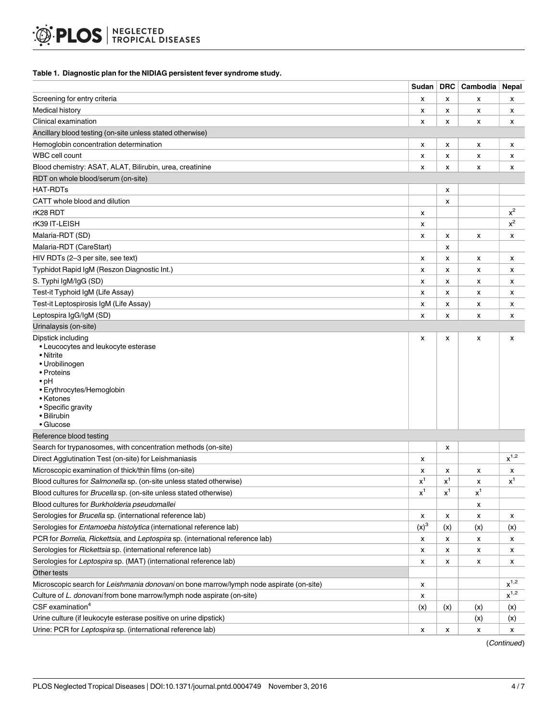#### <span id="page-3-0"></span>**[Table](#page-2-0) 1. Diagnostic plan for the NIDIAG persistent fever syndrome study.**

|                                                                                                                                                                                                                  | Sudan          | DRC   | Cambodia | Nepal     |
|------------------------------------------------------------------------------------------------------------------------------------------------------------------------------------------------------------------|----------------|-------|----------|-----------|
| Screening for entry criteria                                                                                                                                                                                     | x              | x     | x        | x         |
| Medical history                                                                                                                                                                                                  | x              | x     | x        | x         |
| Clinical examination                                                                                                                                                                                             | x              | x     | x        | x         |
| Ancillary blood testing (on-site unless stated otherwise)                                                                                                                                                        |                |       |          |           |
| Hemoglobin concentration determination                                                                                                                                                                           | x              | x     | x        | x         |
| WBC cell count                                                                                                                                                                                                   | х              | x     | х        | x         |
| Blood chemistry: ASAT, ALAT, Bilirubin, urea, creatinine                                                                                                                                                         | X              | x     | x        | x         |
| RDT on whole blood/serum (on-site)                                                                                                                                                                               |                |       |          |           |
| HAT-RDTs                                                                                                                                                                                                         |                | x     |          |           |
| CATT whole blood and dilution                                                                                                                                                                                    |                | x     |          |           |
| rK28 RDT                                                                                                                                                                                                         | X              |       |          | $x^2$     |
| rK39 IT-LEISH                                                                                                                                                                                                    | х              |       |          | $\rm x^2$ |
| Malaria-RDT (SD)                                                                                                                                                                                                 | X              | x     | x        | x         |
| Malaria-RDT (CareStart)                                                                                                                                                                                          |                | x     |          |           |
| HIV RDTs (2-3 per site, see text)                                                                                                                                                                                | x              | x     | х        | x         |
| Typhidot Rapid IgM (Reszon Diagnostic Int.)                                                                                                                                                                      | х              | x     | x        | x         |
| S. Typhi IgM/IgG (SD)                                                                                                                                                                                            | x              | x     | x        | x         |
| Test-it Typhoid IgM (Life Assay)                                                                                                                                                                                 | x              | x     | х        | x         |
| Test-it Leptospirosis IgM (Life Assay)                                                                                                                                                                           | x              | x     | x        | x         |
| Leptospira IgG/IgM (SD)                                                                                                                                                                                          | x              | x     | x        | x         |
| Urinalaysis (on-site)                                                                                                                                                                                            |                |       |          |           |
| Dipstick including<br>• Leucocytes and leukocyte esterase<br>• Nitrite<br>• Urobilinogen<br>• Proteins<br>$\cdot$ pH<br>• Erythrocytes/Hemoglobin<br>• Ketones<br>• Specific gravity<br>• Bilirubin<br>• Glucose | x              | x     | x        | x         |
| Reference blood testing                                                                                                                                                                                          |                |       |          |           |
| Search for trypanosomes, with concentration methods (on-site)                                                                                                                                                    |                | x     |          |           |
| Direct Agglutination Test (on-site) for Leishmaniasis                                                                                                                                                            | x              |       |          | $x^{1,2}$ |
| Microscopic examination of thick/thin films (on-site)                                                                                                                                                            | x              | x     | x        | x         |
| Blood cultures for Salmonella sp. (on-site unless stated otherwise)                                                                                                                                              | $\mathsf{x}^1$ | $x^1$ | х        | $x^1$     |
| Blood cultures for <i>Brucella</i> sp. (on-site unless stated otherwise)                                                                                                                                         | $x^1$          | $x^1$ | $x^1$    |           |
| Blood cultures for Burkholderia pseudomallei                                                                                                                                                                     |                |       | х        |           |
| Serologies for Brucella sp. (international reference lab)                                                                                                                                                        | X              | X     | x        | x         |
| Serologies for Entamoeba histolytica (international reference lab)                                                                                                                                               | $(x)^3$        | (x)   | (x)      | (x)       |
| PCR for Borrelia, Rickettsia, and Leptospira sp. (international reference lab)                                                                                                                                   | x              | X     | x        | x         |
| Serologies for Rickettsia sp. (international reference lab)                                                                                                                                                      | x              | x     | x        | x         |
| Serologies for Leptospira sp. (MAT) (international reference lab)                                                                                                                                                | x              | x     | x        | x         |
| Other tests                                                                                                                                                                                                      |                |       |          |           |
| Microscopic search for Leishmania donovani on bone marrow/lymph node aspirate (on-site)                                                                                                                          | X              |       |          | $x^{1,2}$ |
| Culture of L. donovani from bone marrow/lymph node aspirate (on-site)                                                                                                                                            | x              |       |          | $x^{1,2}$ |
| CSF examination <sup>4</sup>                                                                                                                                                                                     | (x)            | (x)   | (x)      | (x)       |
| Urine culture (if leukocyte esterase positive on urine dipstick)                                                                                                                                                 |                |       | (x)      | (x)       |
| Urine: PCR for Leptospira sp. (international reference lab)                                                                                                                                                      | x              | x     | x        | x         |

(Continued)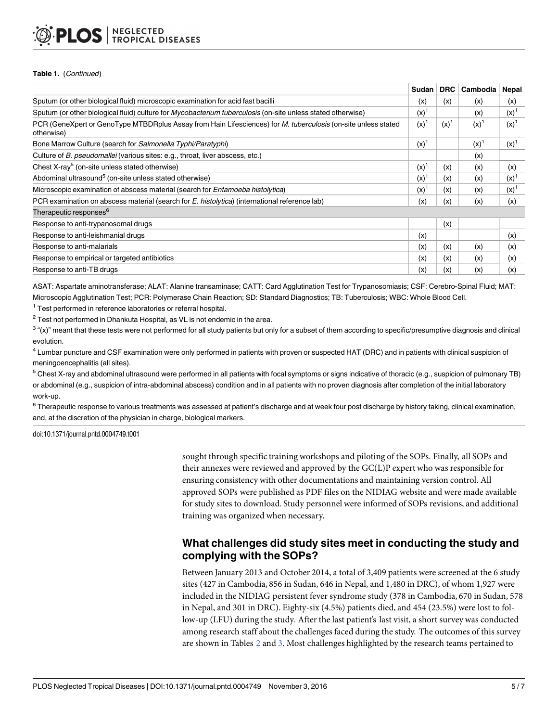#### <span id="page-4-0"></span>**NEGLECTED TROPICAL DISEASES**

#### **Table 1.** (Continued)

|                                                                                                                                    | Sudan     | <b>DRC</b> | Cambodia | Nepal     |
|------------------------------------------------------------------------------------------------------------------------------------|-----------|------------|----------|-----------|
| Sputum (or other biological fluid) microscopic examination for acid fast bacilli                                                   | (x)       | (x)        | (x)      | (x)       |
| Sputum (or other biological fluid) culture for <i>Mycobacterium tuberculosis</i> (on-site unless stated otherwise)                 | $(x)^{1}$ |            | (x)      | $(x)^{1}$ |
| PCR (GeneXpert or GenoType MTBDRplus Assay from Hain Lifesciences) for <i>M. tuberculosis</i> (on-site unless stated<br>otherwise) | $(x)^1$   | $(x)^1$    | (x)      | $(x)^1$   |
| Bone Marrow Culture (search for Salmonella Typhi/Paratyphi)                                                                        | $(x)^{1}$ |            | (x)      | $(x)^{1}$ |
| Culture of B. pseudomallei (various sites: e.g., throat, liver abscess, etc.)                                                      |           |            | (x)      |           |
| Chest X-ray <sup>5</sup> (on-site unless stated otherwise)                                                                         | $(x)^{1}$ | (x)        | (x)      | (x)       |
| Abdominal ultrasound <sup>5</sup> (on-site unless stated otherwise)                                                                | $(x)^{1}$ | (x)        | (x)      | $(x)^1$   |
| Microscopic examination of abscess material (search for <i>Entamoeba histolytica</i> )                                             | $(x)^1$   | (x)        | (x)      | $(x)^{1}$ |
| PCR examination on abscess material (search for E. histolytica) (international reference lab)                                      | (x)       | (x)        | (x)      | (x)       |
| Therapeutic responses <sup>6</sup>                                                                                                 |           |            |          |           |
| Response to anti-trypanosomal drugs                                                                                                |           | (x)        |          |           |
| Response to anti-leishmanial drugs                                                                                                 | (x)       |            |          | (x)       |
| Response to anti-malarials                                                                                                         | (x)       | (x)        | (x)      | (x)       |
| Response to empirical or targeted antibiotics                                                                                      | (x)       | (x)        | (x)      | (x)       |
| Response to anti-TB drugs                                                                                                          | (x)       | (x)        | (x)      | (x)       |

ASAT: Aspartate aminotransferase; ALAT: Alanine transaminase; CATT: Card Agglutination Test for Trypanosomiasis; CSF: Cerebro-Spinal Fluid; MAT: Microscopic Agglutination Test; PCR: Polymerase Chain Reaction; SD: Standard Diagnostics; TB: Tuberculosis; WBC: Whole Blood Cell.

<sup>1</sup> Test performed in reference laboratories or referral hospital.

 $2$  Test not performed in Dhankuta Hospital, as VL is not endemic in the area.

 $3$  "(x)" meant that these tests were not performed for all study patients but only for a subset of them according to specific/presumptive diagnosis and clinical evolution.

 $^4$  Lumbar puncture and CSF examination were only performed in patients with proven or suspected HAT (DRC) and in patients with clinical suspicion of meningoencephalitis (all sites).

<sup>5</sup> Chest X-ray and abdominal ultrasound were performed in all patients with focal symptoms or signs indicative of thoracic (e.g., suspicion of pulmonary TB) or abdominal (e.g., suspicion of intra-abdominal abscess) condition and in all patients with no proven diagnosis after completion of the initial laboratory work-up.

<sup>6</sup> Therapeutic response to various treatments was assessed at patient's discharge and at week four post discharge by history taking, clinical examination, and, at the discretion of the physician in charge, biological markers.

doi:10.1371/journal.pntd.0004749.t001

sought through specific training workshops and piloting of the SOPs. Finally, all SOPs and their annexes were reviewed and approved by the GC(L)P expert who was responsible for ensuring consistency with other documentations and maintaining version control. All approved SOPs were published as PDF files on the NIDIAG website and were made available for study sites to download. Study personnel were informed of SOPs revisions, and additional training was organized when necessary.

## **What challenges did study sites meet in conducting the study and complying with the SOPs?**

Between January 2013 and October 2014, a total of 3,409 patients were screened at the 6 study sites (427 in Cambodia, 856 in Sudan, 646 in Nepal, and 1,480 in DRC), of whom 1,927 were included in the NIDIAG persistent fever syndrome study (378 in Cambodia, 670 in Sudan, 578 in Nepal, and 301 in DRC). Eighty-six (4.5%) patients died, and 454 (23.5%) were lost to follow-up (LFU) during the study. After the last patient's last visit, a short surveywas conducted among research staff about the challenges faced during the study. The outcomes of this survey are shown in Tables [2](#page-5-0) and [3](#page-5-0). Most challenges highlighted by the research teams pertained to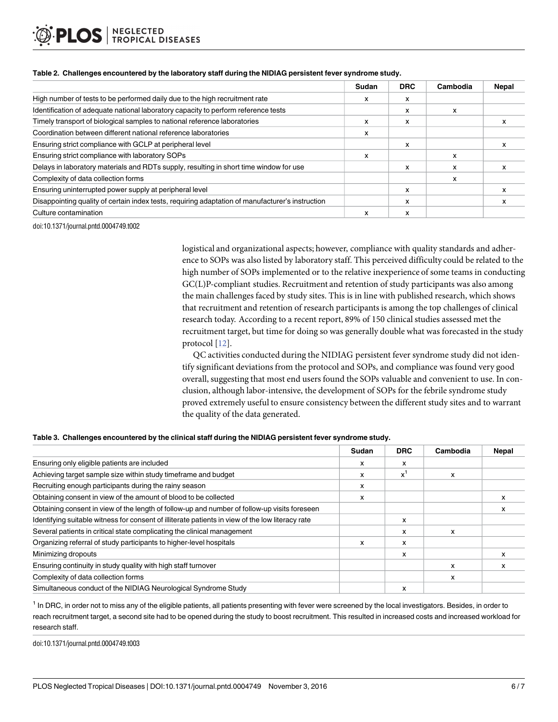|                                                                                                  | Sudan | <b>DRC</b> | Cambodia | <b>Nepal</b> |
|--------------------------------------------------------------------------------------------------|-------|------------|----------|--------------|
| High number of tests to be performed daily due to the high recruitment rate                      | x     | x          |          |              |
| Identification of adequate national laboratory capacity to perform reference tests               |       | x          | x        |              |
| Timely transport of biological samples to national reference laboratories                        | x     | x          |          | x            |
| Coordination between different national reference laboratories                                   | x     |            |          |              |
| Ensuring strict compliance with GCLP at peripheral level                                         |       | x          |          |              |
| Ensuring strict compliance with laboratory SOPs                                                  | x     |            | x        |              |
| Delays in laboratory materials and RDTs supply, resulting in short time window for use           |       | x          | x        |              |
| Complexity of data collection forms                                                              |       |            | x        |              |
| Ensuring uninterrupted power supply at peripheral level                                          |       | x          |          |              |
| Disappointing quality of certain index tests, requiring adaptation of manufacturer's instruction |       | x          |          |              |
| Culture contamination                                                                            | x     | x          |          |              |

#### <span id="page-5-0"></span>**[Table](#page-4-0) 2. Challenges encountered by the laboratory staff during the NIDIAG persistent fever syndrome study.**

doi:10.1371/journal.pntd.0004749.t002

logistical and organizational aspects; however, compliance with quality standards and adherence to SOPs was also listed by laboratory staff. This perceived difficulty could be related to the high number of SOPs implemented or to the relative inexperience of some teams in conducting GC(L)P-compliant studies. Recruitment and retention of study participants was also among the main challenges faced by study sites. This is in line with published research, which shows that recruitment and retention of research participants is among the top challenges of clinical research today. According to a recent report, 89% of 150 clinical studies assessed met the recruitment target, but time for doing so was generally double what was forecasted in the study protocol [\[12\]](#page-6-0).

QC activities conducted during the NIDIAG persistent fever syndrome study did not identify significant deviations from the protocol and SOPs, and compliance was found very good overall, suggesting that most end users found the SOPs valuable and convenient to use. In conclusion, although labor-intensive, the development of SOPs for the febrile syndrome study proved extremely useful to ensure consistency between the different study sites and to warrant the quality of the data generated.

#### **[Table](#page-4-0) 3. Challenges encountered by the clinical staff during the NIDIAG persistent fever syndrome study.**

|                                                                                                  | Sudan | <b>DRC</b> | Cambodia | <b>Nepal</b> |
|--------------------------------------------------------------------------------------------------|-------|------------|----------|--------------|
| Ensuring only eligible patients are included                                                     | x     | x          |          |              |
| Achieving target sample size within study timeframe and budget                                   | x     | $x^1$      | x        |              |
| Recruiting enough participants during the rainy season                                           | x     |            |          |              |
| Obtaining consent in view of the amount of blood to be collected                                 | x     |            |          |              |
| Obtaining consent in view of the length of follow-up and number of follow-up visits foreseen     |       |            |          |              |
| Identifying suitable witness for consent of illiterate patients in view of the low literacy rate |       | x          |          |              |
| Several patients in critical state complicating the clinical management                          |       | x          | X        |              |
| Organizing referral of study participants to higher-level hospitals                              | x     | x          |          |              |
| Minimizing dropouts                                                                              |       | x          |          | x            |
| Ensuring continuity in study quality with high staff turnover                                    |       |            | x        |              |
| Complexity of data collection forms                                                              |       |            | x        |              |
| Simultaneous conduct of the NIDIAG Neurological Syndrome Study                                   |       | x          |          |              |

<sup>1</sup> In DRC, in order not to miss any of the eligible patients, all patients presenting with fever were screened by the local investigators. Besides, in order to reach recruitment target, a second site had to be opened during the study to boost recruitment. This resulted in increased costs and increased workload for research staff.

doi:10.1371/journal.pntd.0004749.t003